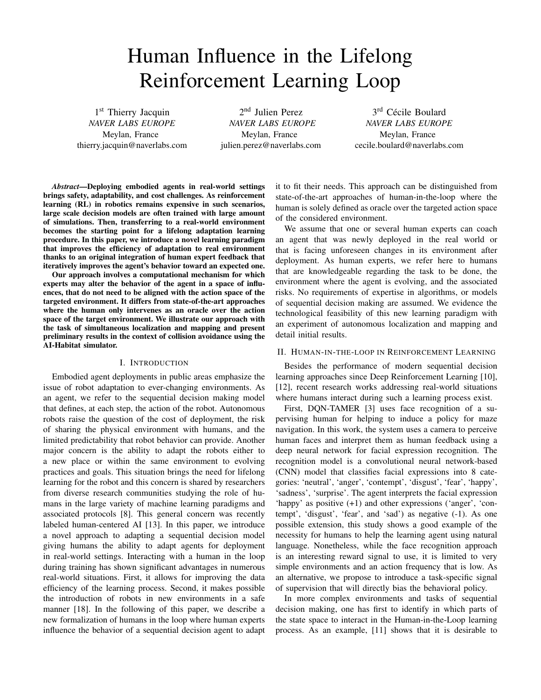# Human Influence in the Lifelong Reinforcement Learning Loop

1st Thierry Jacquin *NAVER LABS EUROPE* Meylan, France thierry.jacquin@naverlabs.com

2<sup>nd</sup> Julien Perez *NAVER LABS EUROPE* Meylan, France julien.perez@naverlabs.com

3<sup>rd</sup> Cécile Boulard *NAVER LABS EUROPE* Meylan, France cecile.boulard@naverlabs.com

*Abstract*—Deploying embodied agents in real-world settings brings safety, adaptability, and cost challenges. As reinforcement learning (RL) in robotics remains expensive in such scenarios, large scale decision models are often trained with large amount of simulations. Then, transferring to a real-world environment becomes the starting point for a lifelong adaptation learning procedure. In this paper, we introduce a novel learning paradigm that improves the efficiency of adaptation to real environment thanks to an original integration of human expert feedback that iteratively improves the agent's behavior toward an expected one.

Our approach involves a computational mechanism for which experts may alter the behavior of the agent in a space of influences, that do not need to be aligned with the action space of the targeted environment. It differs from state-of-the-art approaches where the human only intervenes as an oracle over the action space of the target environment. We illustrate our approach with the task of simultaneous localization and mapping and present preliminary results in the context of collision avoidance using the AI-Habitat simulator.

#### I. INTRODUCTION

Embodied agent deployments in public areas emphasize the issue of robot adaptation to ever-changing environments. As an agent, we refer to the sequential decision making model that defines, at each step, the action of the robot. Autonomous robots raise the question of the cost of deployment, the risk of sharing the physical environment with humans, and the limited predictability that robot behavior can provide. Another major concern is the ability to adapt the robots either to a new place or within the same environment to evolving practices and goals. This situation brings the need for lifelong learning for the robot and this concern is shared by researchers from diverse research communities studying the role of humans in the large variety of machine learning paradigms and associated protocols [8]. This general concern was recently labeled human-centered AI [13]. In this paper, we introduce a novel approach to adapting a sequential decision model giving humans the ability to adapt agents for deployment in real-world settings. Interacting with a human in the loop during training has shown significant advantages in numerous real-world situations. First, it allows for improving the data efficiency of the learning process. Second, it makes possible the introduction of robots in new environments in a safe manner [18]. In the following of this paper, we describe a new formalization of humans in the loop where human experts influence the behavior of a sequential decision agent to adapt it to fit their needs. This approach can be distinguished from state-of-the-art approaches of human-in-the-loop where the human is solely defined as oracle over the targeted action space of the considered environment.

We assume that one or several human experts can coach an agent that was newly deployed in the real world or that is facing unforeseen changes in its environment after deployment. As human experts, we refer here to humans that are knowledgeable regarding the task to be done, the environment where the agent is evolving, and the associated risks. No requirements of expertise in algorithms, or models of sequential decision making are assumed. We evidence the technological feasibility of this new learning paradigm with an experiment of autonomous localization and mapping and detail initial results.

## II. HUMAN-IN-THE-LOOP IN REINFORCEMENT LEARNING

Besides the performance of modern sequential decision learning approaches since Deep Reinforcement Learning [10], [12], recent research works addressing real-world situations where humans interact during such a learning process exist.

First, DQN-TAMER [3] uses face recognition of a supervising human for helping to induce a policy for maze navigation. In this work, the system uses a camera to perceive human faces and interpret them as human feedback using a deep neural network for facial expression recognition. The recognition model is a convolutional neural network-based (CNN) model that classifies facial expressions into 8 categories: 'neutral', 'anger', 'contempt', 'disgust', 'fear', 'happy', 'sadness', 'surprise'. The agent interprets the facial expression 'happy' as positive (+1) and other expressions ('anger', 'contempt', 'disgust', 'fear', and 'sad') as negative (-1). As one possible extension, this study shows a good example of the necessity for humans to help the learning agent using natural language. Nonetheless, while the face recognition approach is an interesting reward signal to use, it is limited to very simple environments and an action frequency that is low. As an alternative, we propose to introduce a task-specific signal of supervision that will directly bias the behavioral policy.

In more complex environments and tasks of sequential decision making, one has first to identify in which parts of the state space to interact in the Human-in-the-Loop learning process. As an example, [11] shows that it is desirable to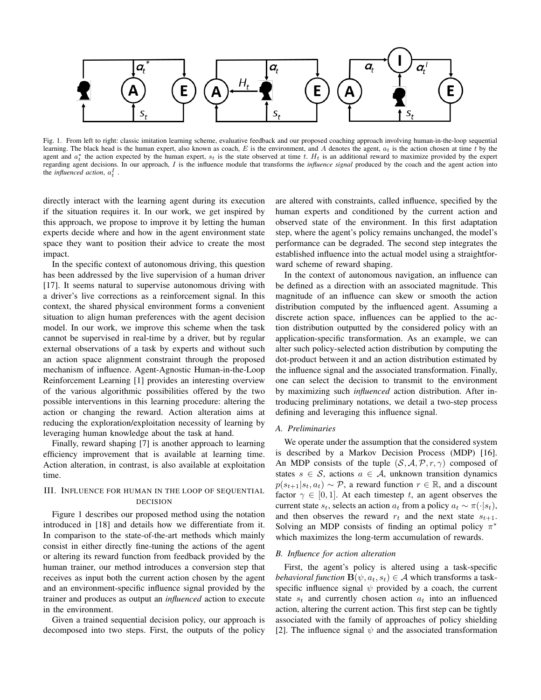

Fig. 1. From left to right: classic imitation learning scheme, evaluative feedback and our proposed coaching approach involving human-in-the-loop sequential learning. The black head is the human expert, also known as coach,  $E$  is the environment, and  $A$  denotes the agent,  $a_t$  is the action chosen at time  $t$  by the agent and  $a_t^*$  the action expected by the human expert,  $s_t$  is the state observed at time t.  $H_t$  is an additional reward to maximize provided by the expert regarding agent decisions. In our approach, I is the influence module that transforms the *influence signal* produced by the coach and the agent action into the *influenced action*,  $a_t^I$ .

directly interact with the learning agent during its execution if the situation requires it. In our work, we get inspired by this approach, we propose to improve it by letting the human experts decide where and how in the agent environment state space they want to position their advice to create the most impact.

In the specific context of autonomous driving, this question has been addressed by the live supervision of a human driver [17]. It seems natural to supervise autonomous driving with a driver's live corrections as a reinforcement signal. In this context, the shared physical environment forms a convenient situation to align human preferences with the agent decision model. In our work, we improve this scheme when the task cannot be supervised in real-time by a driver, but by regular external observations of a task by experts and without such an action space alignment constraint through the proposed mechanism of influence. Agent-Agnostic Human-in-the-Loop Reinforcement Learning [1] provides an interesting overview of the various algorithmic possibilities offered by the two possible interventions in this learning procedure: altering the action or changing the reward. Action alteration aims at reducing the exploration/exploitation necessity of learning by leveraging human knowledge about the task at hand.

Finally, reward shaping [7] is another approach to learning efficiency improvement that is available at learning time. Action alteration, in contrast, is also available at exploitation time.

## III. INFLUENCE FOR HUMAN IN THE LOOP OF SEQUENTIAL DECISION

Figure 1 describes our proposed method using the notation introduced in [18] and details how we differentiate from it. In comparison to the state-of-the-art methods which mainly consist in either directly fine-tuning the actions of the agent or altering its reward function from feedback provided by the human trainer, our method introduces a conversion step that receives as input both the current action chosen by the agent and an environment-specific influence signal provided by the trainer and produces as output an *influenced* action to execute in the environment.

Given a trained sequential decision policy, our approach is decomposed into two steps. First, the outputs of the policy are altered with constraints, called influence, specified by the human experts and conditioned by the current action and observed state of the environment. In this first adaptation step, where the agent's policy remains unchanged, the model's performance can be degraded. The second step integrates the established influence into the actual model using a straightforward scheme of reward shaping.

In the context of autonomous navigation, an influence can be defined as a direction with an associated magnitude. This magnitude of an influence can skew or smooth the action distribution computed by the influenced agent. Assuming a discrete action space, influences can be applied to the action distribution outputted by the considered policy with an application-specific transformation. As an example, we can alter such policy-selected action distribution by computing the dot-product between it and an action distribution estimated by the influence signal and the associated transformation. Finally, one can select the decision to transmit to the environment by maximizing such *influenced* action distribution. After introducing preliminary notations, we detail a two-step process defining and leveraging this influence signal.

#### *A. Preliminaries*

We operate under the assumption that the considered system is described by a Markov Decision Process (MDP) [16]. An MDP consists of the tuple  $(S, A, \mathcal{P}, r, \gamma)$  composed of states  $s \in S$ , actions  $a \in A$ , unknown transition dynamics  $p(s_{t+1}|s_t, a_t) \sim \mathcal{P}$ , a reward function  $r \in \mathbb{R}$ , and a discount factor  $\gamma \in [0, 1]$ . At each timestep t, an agent observes the current state  $s_t$ , selects an action  $a_t$  from a policy  $a_t \sim \pi(\cdot|s_t)$ , and then observes the reward  $r_t$  and the next state  $s_{t+1}$ . Solving an MDP consists of finding an optimal policy  $\pi^*$ which maximizes the long-term accumulation of rewards.

## *B. Influence for action alteration*

First, the agent's policy is altered using a task-specific *behavioral function*  $\mathbf{B}(\psi, a_t, s_t) \in \mathcal{A}$  which transforms a taskspecific influence signal  $\psi$  provided by a coach, the current state  $s_t$  and currently chosen action  $a_t$  into an influenced action, altering the current action. This first step can be tightly associated with the family of approaches of policy shielding [2]. The influence signal  $\psi$  and the associated transformation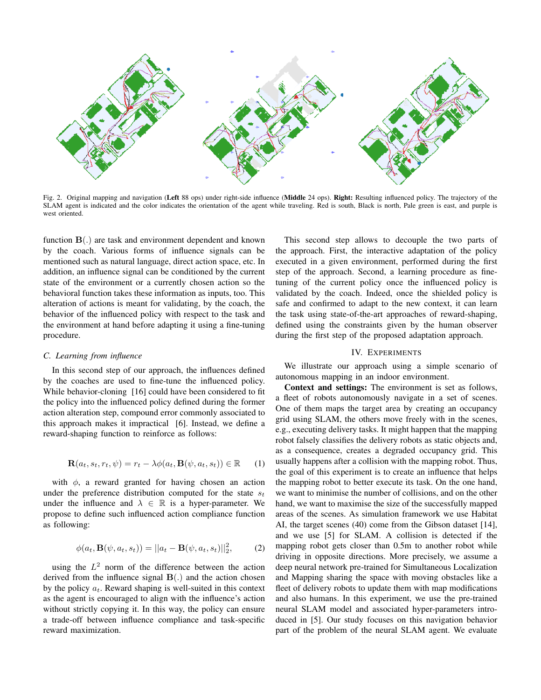

Fig. 2. Original mapping and navigation (Left 88 ops) under right-side influence (Middle 24 ops). Right: Resulting influenced policy. The trajectory of the SLAM agent is indicated and the color indicates the orientation of the agent while traveling. Red is south, Black is north, Pale green is east, and purple is west oriented.

function  $\mathbf{B}$ (.) are task and environment dependent and known by the coach. Various forms of influence signals can be mentioned such as natural language, direct action space, etc. In addition, an influence signal can be conditioned by the current state of the environment or a currently chosen action so the behavioral function takes these information as inputs, too. This alteration of actions is meant for validating, by the coach, the behavior of the influenced policy with respect to the task and the environment at hand before adapting it using a fine-tuning procedure.

### *C. Learning from influence*

In this second step of our approach, the influences defined by the coaches are used to fine-tune the influenced policy. While behavior-cloning [16] could have been considered to fit the policy into the influenced policy defined during the former action alteration step, compound error commonly associated to this approach makes it impractical [6]. Instead, we define a reward-shaping function to reinforce as follows:

$$
\mathbf{R}(a_t, s_t, r_t, \psi) = r_t - \lambda \phi(a_t, \mathbf{B}(\psi, a_t, s_t)) \in \mathbb{R}
$$
 (1)

with  $\phi$ , a reward granted for having chosen an action under the preference distribution computed for the state  $s_t$ under the influence and  $\lambda \in \mathbb{R}$  is a hyper-parameter. We propose to define such influenced action compliance function as following:

$$
\phi(a_t, \mathbf{B}(\psi, a_t, s_t)) = ||a_t - \mathbf{B}(\psi, a_t, s_t)||_2^2, \quad (2)
$$

using the  $L^2$  norm of the difference between the action derived from the influence signal  $\mathbf{B}$ (.) and the action chosen by the policy  $a_t$ . Reward shaping is well-suited in this context as the agent is encouraged to align with the influence's action without strictly copying it. In this way, the policy can ensure a trade-off between influence compliance and task-specific reward maximization.

This second step allows to decouple the two parts of the approach. First, the interactive adaptation of the policy executed in a given environment, performed during the first step of the approach. Second, a learning procedure as finetuning of the current policy once the influenced policy is validated by the coach. Indeed, once the shielded policy is safe and confirmed to adapt to the new context, it can learn the task using state-of-the-art approaches of reward-shaping, defined using the constraints given by the human observer during the first step of the proposed adaptation approach.

## IV. EXPERIMENTS

We illustrate our approach using a simple scenario of autonomous mapping in an indoor environment.

Context and settings: The environment is set as follows, a fleet of robots autonomously navigate in a set of scenes. One of them maps the target area by creating an occupancy grid using SLAM, the others move freely with in the scenes, e.g., executing delivery tasks. It might happen that the mapping robot falsely classifies the delivery robots as static objects and, as a consequence, creates a degraded occupancy grid. This usually happens after a collision with the mapping robot. Thus, the goal of this experiment is to create an influence that helps the mapping robot to better execute its task. On the one hand, we want to minimise the number of collisions, and on the other hand, we want to maximise the size of the successfully mapped areas of the scenes. As simulation framework we use Habitat AI, the target scenes (40) come from the Gibson dataset [14], and we use [5] for SLAM. A collision is detected if the mapping robot gets closer than 0.5m to another robot while driving in opposite directions. More precisely, we assume a deep neural network pre-trained for Simultaneous Localization and Mapping sharing the space with moving obstacles like a fleet of delivery robots to update them with map modifications and also humans. In this experiment, we use the pre-trained neural SLAM model and associated hyper-parameters introduced in [5]. Our study focuses on this navigation behavior part of the problem of the neural SLAM agent. We evaluate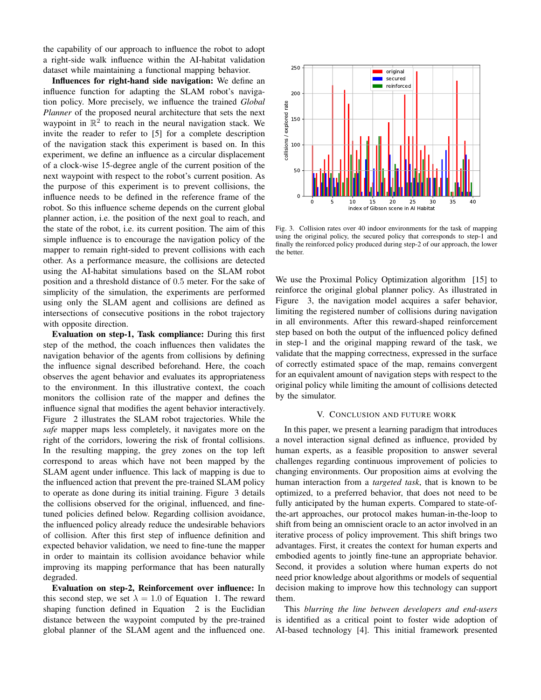the capability of our approach to influence the robot to adopt a right-side walk influence within the AI-habitat validation dataset while maintaining a functional mapping behavior.

Influences for right-hand side navigation: We define an influence function for adapting the SLAM robot's navigation policy. More precisely, we influence the trained *Global Planner* of the proposed neural architecture that sets the next waypoint in  $\mathbb{R}^2$  to reach in the neural navigation stack. We invite the reader to refer to [5] for a complete description of the navigation stack this experiment is based on. In this experiment, we define an influence as a circular displacement of a clock-wise 15-degree angle of the current position of the next waypoint with respect to the robot's current position. As the purpose of this experiment is to prevent collisions, the influence needs to be defined in the reference frame of the robot. So this influence scheme depends on the current global planner action, i.e. the position of the next goal to reach, and the state of the robot, i.e. its current position. The aim of this simple influence is to encourage the navigation policy of the mapper to remain right-sided to prevent collisions with each other. As a performance measure, the collisions are detected using the AI-habitat simulations based on the SLAM robot position and a threshold distance of 0.5 meter. For the sake of simplicity of the simulation, the experiments are performed using only the SLAM agent and collisions are defined as intersections of consecutive positions in the robot trajectory with opposite direction.

Evaluation on step-1, Task compliance: During this first step of the method, the coach influences then validates the navigation behavior of the agents from collisions by defining the influence signal described beforehand. Here, the coach observes the agent behavior and evaluates its appropriateness to the environment. In this illustrative context, the coach monitors the collision rate of the mapper and defines the influence signal that modifies the agent behavior interactively. Figure 2 illustrates the SLAM robot trajectories. While the *safe* mapper maps less completely, it navigates more on the right of the corridors, lowering the risk of frontal collisions. In the resulting mapping, the grey zones on the top left correspond to areas which have not been mapped by the SLAM agent under influence. This lack of mapping is due to the influenced action that prevent the pre-trained SLAM policy to operate as done during its initial training. Figure 3 details the collisions observed for the original, influenced, and finetuned policies defined below. Regarding collision avoidance, the influenced policy already reduce the undesirable behaviors of collision. After this first step of influence definition and expected behavior validation, we need to fine-tune the mapper in order to maintain its collision avoidance behavior while improving its mapping performance that has been naturally degraded.

Evaluation on step-2, Reinforcement over influence: In this second step, we set  $\lambda = 1.0$  of Equation 1. The reward shaping function defined in Equation 2 is the Euclidian distance between the waypoint computed by the pre-trained global planner of the SLAM agent and the influenced one.



Fig. 3. Collision rates over 40 indoor environments for the task of mapping using the original policy, the secured policy that corresponds to step-1 and finally the reinforced policy produced during step-2 of our approach, the lower the better.

We use the Proximal Policy Optimization algorithm [15] to reinforce the original global planner policy. As illustrated in Figure 3, the navigation model acquires a safer behavior, limiting the registered number of collisions during navigation in all environments. After this reward-shaped reinforcement step based on both the output of the influenced policy defined in step-1 and the original mapping reward of the task, we validate that the mapping correctness, expressed in the surface of correctly estimated space of the map, remains convergent for an equivalent amount of navigation steps with respect to the original policy while limiting the amount of collisions detected by the simulator.

#### V. CONCLUSION AND FUTURE WORK

In this paper, we present a learning paradigm that introduces a novel interaction signal defined as influence, provided by human experts, as a feasible proposition to answer several challenges regarding continuous improvement of policies to changing environments. Our proposition aims at evolving the human interaction from a *targeted task*, that is known to be optimized, to a preferred behavior, that does not need to be fully anticipated by the human experts. Compared to state-ofthe-art approaches, our protocol makes human-in-the-loop to shift from being an omniscient oracle to an actor involved in an iterative process of policy improvement. This shift brings two advantages. First, it creates the context for human experts and embodied agents to jointly fine-tune an appropriate behavior. Second, it provides a solution where human experts do not need prior knowledge about algorithms or models of sequential decision making to improve how this technology can support them.

This *blurring the line between developers and end-users* is identified as a critical point to foster wide adoption of AI-based technology [4]. This initial framework presented